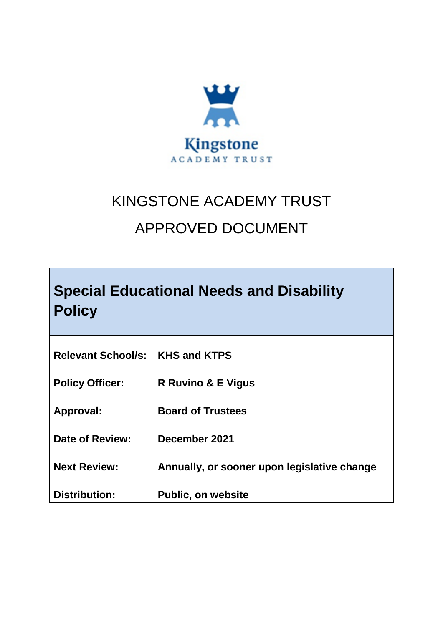

# KINGSTONE ACADEMY TRUST

# APPROVED DOCUMENT

|               | <b>Special Educational Needs and Disability</b> |  |
|---------------|-------------------------------------------------|--|
| <b>Policy</b> |                                                 |  |

| <b>Relevant School/s:</b> | <b>KHS and KTPS</b>                         |
|---------------------------|---------------------------------------------|
| <b>Policy Officer:</b>    | <b>R Ruvino &amp; E Vigus</b>               |
| Approval:                 | <b>Board of Trustees</b>                    |
| Date of Review:           | December 2021                               |
| <b>Next Review:</b>       | Annually, or sooner upon legislative change |
|                           |                                             |
| <b>Distribution:</b>      | <b>Public, on website</b>                   |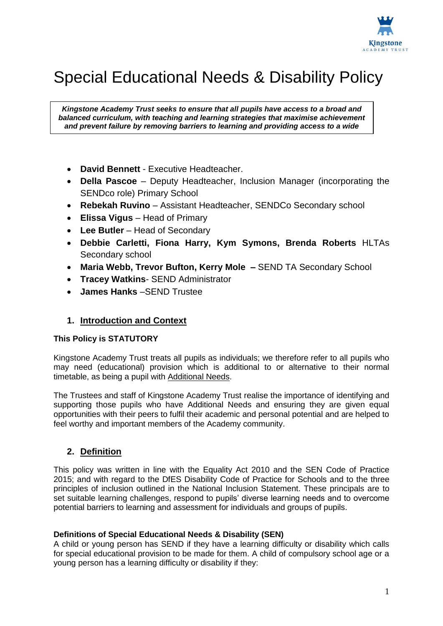

# Special Educational Needs & Disability Policy

*Kingstone Academy Trust seeks to ensure that all pupils have access to a broad and balanced curriculum, with teaching and learning strategies that maximise achievement and prevent failure by removing barriers to learning and providing access to a wide* 

*range of learning challenges.*

- **David Bennett** Executive Headteacher.
- **Della Pascoe**  Deputy Headteacher, Inclusion Manager (incorporating the SENDco role) Primary School
- **Rebekah Ruvino** Assistant Headteacher, SENDCo Secondary school
- **Elissa Vigus** Head of Primary
- **Lee Butler**  Head of Secondary
- **Debbie Carletti, Fiona Harry, Kym Symons, Brenda Roberts** HLTAs Secondary school
- **Maria Webb, Trevor Bufton, Kerry Mole –** SEND TA Secondary School
- **Tracey Watkins** SEND Administrator
- **James Hanks** –SEND Trustee

#### **1. Introduction and Context**

#### **This Policy is STATUTORY**

Kingstone Academy Trust treats all pupils as individuals; we therefore refer to all pupils who may need (educational) provision which is additional to or alternative to their normal timetable, as being a pupil with Additional Needs.

The Trustees and staff of Kingstone Academy Trust realise the importance of identifying and supporting those pupils who have Additional Needs and ensuring they are given equal opportunities with their peers to fulfil their academic and personal potential and are helped to feel worthy and important members of the Academy community.

#### **2. Definition**

This policy was written in line with the Equality Act 2010 and the SEN Code of Practice 2015; and with regard to the DfES Disability Code of Practice for Schools and to the three principles of inclusion outlined in the National Inclusion Statement. These principals are to set suitable learning challenges, respond to pupils' diverse learning needs and to overcome potential barriers to learning and assessment for individuals and groups of pupils.

#### **Definitions of Special Educational Needs & Disability (SEN)**

A child or young person has SEND if they have a learning difficulty or disability which calls for special educational provision to be made for them. A child of compulsory school age or a young person has a learning difficulty or disability if they: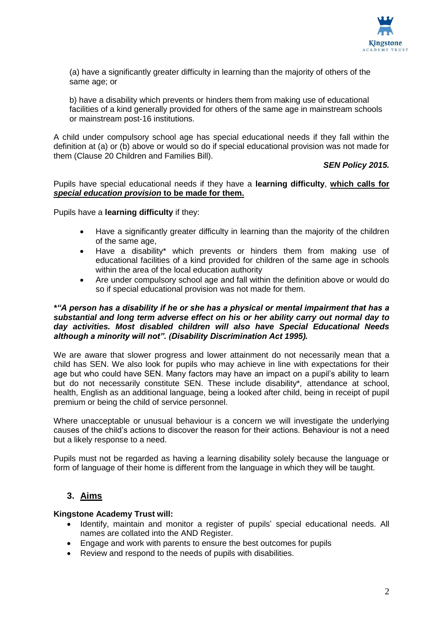

(a) have a significantly greater difficulty in learning than the majority of others of the same age; or

b) have a disability which prevents or hinders them from making use of educational facilities of a kind generally provided for others of the same age in mainstream schools or mainstream post-16 institutions.

A child under compulsory school age has special educational needs if they fall within the definition at (a) or (b) above or would so do if special educational provision was not made for them (Clause 20 Children and Families Bill).

#### *SEN Policy 2015.*

Pupils have special educational needs if they have a **learning difficulty**, **which calls for**  *special education provision* **to be made for them.**

Pupils have a **learning difficulty** if they:

- Have a significantly greater difficulty in learning than the majority of the children of the same age,
- Have a disability\* which prevents or hinders them from making use of educational facilities of a kind provided for children of the same age in schools within the area of the local education authority
- Are under compulsory school age and fall within the definition above or would do so if special educational provision was not made for them.

#### *\*"A person has a disability if he or she has a physical or mental impairment that has a substantial and long term adverse effect on his or her ability carry out normal day to day activities. Most disabled children will also have Special Educational Needs although a minority will not". (Disability Discrimination Act 1995).*

We are aware that slower progress and lower attainment do not necessarily mean that a child has SEN. We also look for pupils who may achieve in line with expectations for their age but who could have SEN. Many factors may have an impact on a pupil's ability to learn but do not necessarily constitute SEN. These include disability\**,* attendance at school, health, English as an additional language, being a looked after child, being in receipt of pupil premium or being the child of service personnel.

Where unacceptable or unusual behaviour is a concern we will investigate the underlying causes of the child's actions to discover the reason for their actions. Behaviour is not a need but a likely response to a need.

Pupils must not be regarded as having a learning disability solely because the language or form of language of their home is different from the language in which they will be taught.

# **3. Aims**

#### **Kingstone Academy Trust will:**

- Identify, maintain and monitor a register of pupils' special educational needs. All names are collated into the AND Register.
- Engage and work with parents to ensure the best outcomes for pupils
- Review and respond to the needs of pupils with disabilities.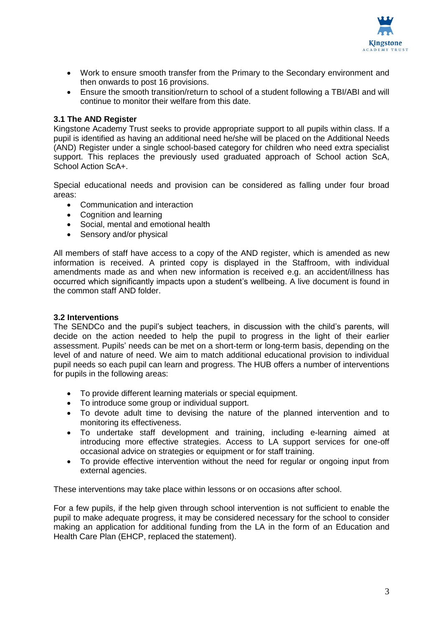

- Work to ensure smooth transfer from the Primary to the Secondary environment and then onwards to post 16 provisions.
- Ensure the smooth transition/return to school of a student following a TBI/ABI and will continue to monitor their welfare from this date.

#### **3.1 The AND Register**

Kingstone Academy Trust seeks to provide appropriate support to all pupils within class. If a pupil is identified as having an additional need he/she will be placed on the Additional Needs (AND) Register under a single school-based category for children who need extra specialist support. This replaces the previously used graduated approach of School action ScA, School Action ScA+.

Special educational needs and provision can be considered as falling under four broad areas:

- Communication and interaction
- Cognition and learning
- Social, mental and emotional health
- Sensory and/or physical

All members of staff have access to a copy of the AND register, which is amended as new information is received. A printed copy is displayed in the Staffroom, with individual amendments made as and when new information is received e.g. an accident/illness has occurred which significantly impacts upon a student's wellbeing. A live document is found in the common staff AND folder.

#### **3.2 Interventions**

The SENDCo and the pupil's subject teachers, in discussion with the child's parents, will decide on the action needed to help the pupil to progress in the light of their earlier assessment. Pupils' needs can be met on a short-term or long-term basis, depending on the level of and nature of need. We aim to match additional educational provision to individual pupil needs so each pupil can learn and progress. The HUB offers a number of interventions for pupils in the following areas:

- To provide different learning materials or special equipment.
- To introduce some group or individual support.
- To devote adult time to devising the nature of the planned intervention and to monitoring its effectiveness.
- To undertake staff development and training, including e-learning aimed at introducing more effective strategies. Access to LA support services for one-off occasional advice on strategies or equipment or for staff training.
- To provide effective intervention without the need for regular or ongoing input from external agencies.

These interventions may take place within lessons or on occasions after school.

For a few pupils, if the help given through school intervention is not sufficient to enable the pupil to make adequate progress, it may be considered necessary for the school to consider making an application for additional funding from the LA in the form of an Education and Health Care Plan (EHCP, replaced the statement).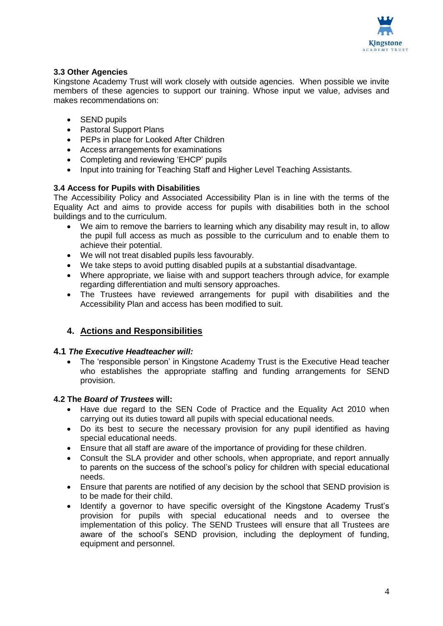

#### **3.3 Other Agencies**

Kingstone Academy Trust will work closely with outside agencies. When possible we invite members of these agencies to support our training. Whose input we value, advises and makes recommendations on:

- SEND pupils
- Pastoral Support Plans
- PEPs in place for Looked After Children
- Access arrangements for examinations
- Completing and reviewing 'EHCP' pupils
- Input into training for Teaching Staff and Higher Level Teaching Assistants.

#### **3.4 Access for Pupils with Disabilities**

The Accessibility Policy and Associated Accessibility Plan is in line with the terms of the Equality Act and aims to provide access for pupils with disabilities both in the school buildings and to the curriculum.

- We aim to remove the barriers to learning which any disability may result in, to allow the pupil full access as much as possible to the curriculum and to enable them to achieve their potential.
- We will not treat disabled pupils less favourably.
- We take steps to avoid putting disabled pupils at a substantial disadvantage.
- Where appropriate, we liaise with and support teachers through advice, for example regarding differentiation and multi sensory approaches.
- The Trustees have reviewed arrangements for pupil with disabilities and the Accessibility Plan and access has been modified to suit.

# **4. Actions and Responsibilities**

#### **4.1** *The Executive Headteacher will:*

• The 'responsible person' in Kingstone Academy Trust is the Executive Head teacher who establishes the appropriate staffing and funding arrangements for SEND provision.

#### **4.2 The** *Board of Trustees* **will:**

- Have due regard to the SEN Code of Practice and the Equality Act 2010 when carrying out its duties toward all pupils with special educational needs.
- Do its best to secure the necessary provision for any pupil identified as having special educational needs.
- Ensure that all staff are aware of the importance of providing for these children.
- Consult the SLA provider and other schools, when appropriate, and report annually to parents on the success of the school's policy for children with special educational needs.
- Ensure that parents are notified of any decision by the school that SEND provision is to be made for their child.
- Identify a governor to have specific oversight of the Kingstone Academy Trust's provision for pupils with special educational needs and to oversee the implementation of this policy. The SEND Trustees will ensure that all Trustees are aware of the school's SEND provision, including the deployment of funding, equipment and personnel.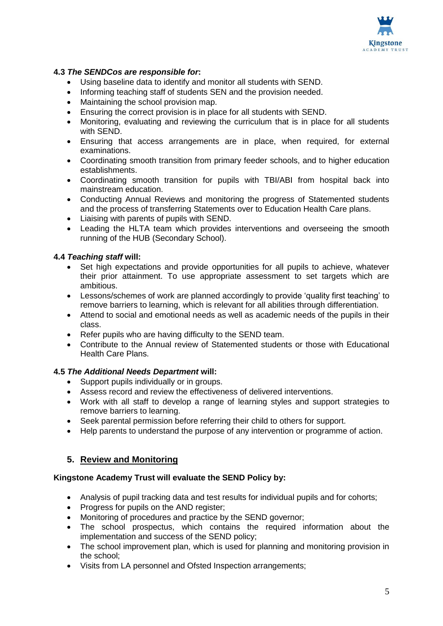

#### **4.3** *The SENDCos are responsible for***:**

- Using baseline data to identify and monitor all students with SEND.
- Informing teaching staff of students SEN and the provision needed.
- Maintaining the school provision map.
- Ensuring the correct provision is in place for all students with SEND.
- Monitoring, evaluating and reviewing the curriculum that is in place for all students with SEND.
- Ensuring that access arrangements are in place, when required, for external examinations.
- Coordinating smooth transition from primary feeder schools, and to higher education establishments.
- Coordinating smooth transition for pupils with TBI/ABI from hospital back into mainstream education.
- Conducting Annual Reviews and monitoring the progress of Statemented students and the process of transferring Statements over to Education Health Care plans.
- Liaising with parents of pupils with SEND.
- Leading the HLTA team which provides interventions and overseeing the smooth running of the HUB (Secondary School).

#### **4.4** *Teaching staff* **will:**

- Set high expectations and provide opportunities for all pupils to achieve, whatever their prior attainment. To use appropriate assessment to set targets which are ambitious.
- Lessons/schemes of work are planned accordingly to provide 'quality first teaching' to remove barriers to learning, which is relevant for all abilities through differentiation.
- Attend to social and emotional needs as well as academic needs of the pupils in their class.
- Refer pupils who are having difficulty to the SEND team.
- Contribute to the Annual review of Statemented students or those with Educational Health Care Plans.

#### **4.5** *The Additional Needs Department* **will:**

- Support pupils individually or in groups.
- Assess record and review the effectiveness of delivered interventions.
- Work with all staff to develop a range of learning styles and support strategies to remove barriers to learning.
- Seek parental permission before referring their child to others for support.
- Help parents to understand the purpose of any intervention or programme of action.

#### **5. Review and Monitoring**

#### **Kingstone Academy Trust will evaluate the SEND Policy by:**

- Analysis of pupil tracking data and test results for individual pupils and for cohorts;
- Progress for pupils on the AND register;
- Monitoring of procedures and practice by the SEND governor;
- The school prospectus, which contains the required information about the implementation and success of the SEND policy;
- The school improvement plan, which is used for planning and monitoring provision in the school;
- Visits from LA personnel and Ofsted Inspection arrangements;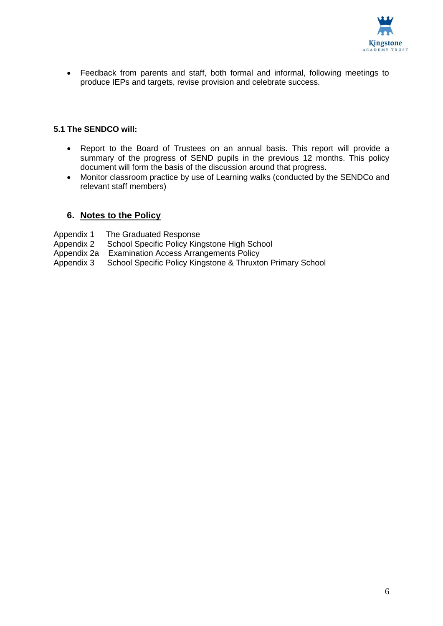

 Feedback from parents and staff, both formal and informal, following meetings to produce IEPs and targets, revise provision and celebrate success.

#### **5.1 The SENDCO will:**

- Report to the Board of Trustees on an annual basis. This report will provide a summary of the progress of SEND pupils in the previous 12 months. This policy document will form the basis of the discussion around that progress.
- Monitor classroom practice by use of Learning walks (conducted by the SENDCo and relevant staff members)

#### **6. Notes to the Policy**

Appendix 1 The Graduated Response

- Appendix 2 School Specific Policy Kingstone High School
- Appendix 2a Examination Access Arrangements Policy
- Appendix 3 School Specific Policy Kingstone & Thruxton Primary School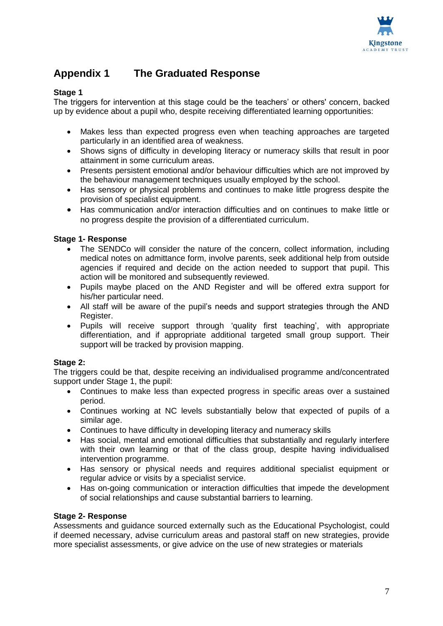

# **Appendix 1 The Graduated Response**

#### **Stage 1**

The triggers for intervention at this stage could be the teachers' or others' concern, backed up by evidence about a pupil who, despite receiving differentiated learning opportunities:

- Makes less than expected progress even when teaching approaches are targeted particularly in an identified area of weakness.
- Shows signs of difficulty in developing literacy or numeracy skills that result in poor attainment in some curriculum areas.
- Presents persistent emotional and/or behaviour difficulties which are not improved by the behaviour management techniques usually employed by the school.
- Has sensory or physical problems and continues to make little progress despite the provision of specialist equipment.
- Has communication and/or interaction difficulties and on continues to make little or no progress despite the provision of a differentiated curriculum.

#### **Stage 1- Response**

- The SENDCo will consider the nature of the concern, collect information, including medical notes on admittance form, involve parents, seek additional help from outside agencies if required and decide on the action needed to support that pupil. This action will be monitored and subsequently reviewed.
- Pupils maybe placed on the AND Register and will be offered extra support for his/her particular need.
- All staff will be aware of the pupil's needs and support strategies through the AND Register.
- Pupils will receive support through 'quality first teaching', with appropriate differentiation, and if appropriate additional targeted small group support. Their support will be tracked by provision mapping.

#### **Stage 2:**

The triggers could be that, despite receiving an individualised programme and/concentrated support under Stage 1, the pupil:

- Continues to make less than expected progress in specific areas over a sustained period.
- Continues working at NC levels substantially below that expected of pupils of a similar age.
- Continues to have difficulty in developing literacy and numeracy skills
- Has social, mental and emotional difficulties that substantially and regularly interfere with their own learning or that of the class group, despite having individualised intervention programme.
- Has sensory or physical needs and requires additional specialist equipment or regular advice or visits by a specialist service.
- Has on-going communication or interaction difficulties that impede the development of social relationships and cause substantial barriers to learning.

#### **Stage 2- Response**

Assessments and guidance sourced externally such as the Educational Psychologist, could if deemed necessary, advise curriculum areas and pastoral staff on new strategies, provide more specialist assessments, or give advice on the use of new strategies or materials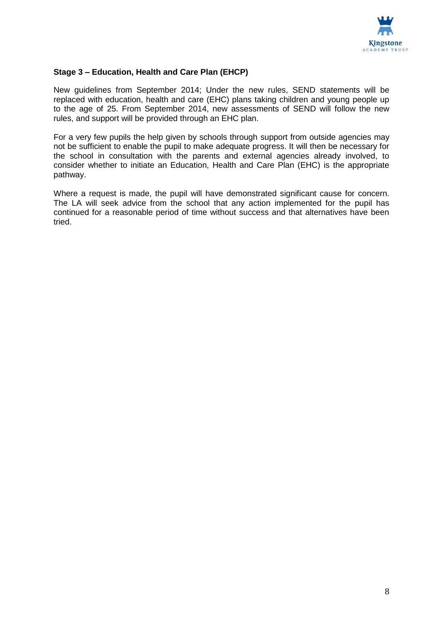

#### **Stage 3 – Education, Health and Care Plan (EHCP)**

New guidelines from September 2014; Under the new rules, SEND statements will be replaced with education, health and care (EHC) plans taking children and young people up to the age of 25. From September 2014, new assessments of SEND will follow the new rules, and support will be provided through an EHC plan.

For a very few pupils the help given by schools through support from outside agencies may not be sufficient to enable the pupil to make adequate progress. It will then be necessary for the school in consultation with the parents and external agencies already involved, to consider whether to initiate an Education, Health and Care Plan (EHC) is the appropriate pathway.

Where a request is made, the pupil will have demonstrated significant cause for concern. The LA will seek advice from the school that any action implemented for the pupil has continued for a reasonable period of time without success and that alternatives have been tried.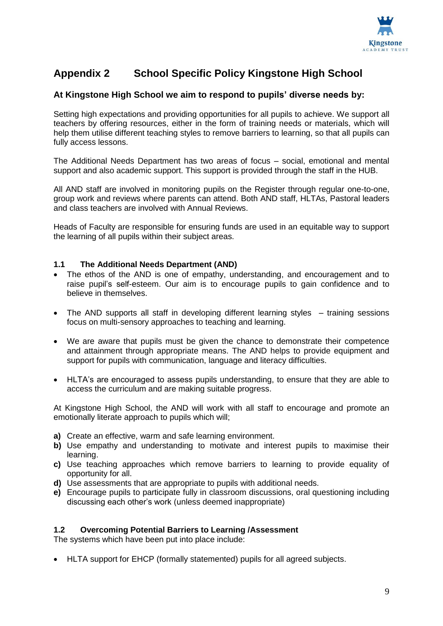

# **Appendix 2 School Specific Policy Kingstone High School**

#### **At Kingstone High School we aim to respond to pupils' diverse needs by:**

Setting high expectations and providing opportunities for all pupils to achieve. We support all teachers by offering resources, either in the form of training needs or materials, which will help them utilise different teaching styles to remove barriers to learning, so that all pupils can fully access lessons.

The Additional Needs Department has two areas of focus – social, emotional and mental support and also academic support. This support is provided through the staff in the HUB.

All AND staff are involved in monitoring pupils on the Register through regular one-to-one, group work and reviews where parents can attend. Both AND staff, HLTAs, Pastoral leaders and class teachers are involved with Annual Reviews.

Heads of Faculty are responsible for ensuring funds are used in an equitable way to support the learning of all pupils within their subject areas.

#### **1.1 The Additional Needs Department (AND)**

- The ethos of the AND is one of empathy, understanding, and encouragement and to raise pupil's self-esteem. Our aim is to encourage pupils to gain confidence and to believe in themselves.
- The AND supports all staff in developing different learning styles training sessions focus on multi-sensory approaches to teaching and learning.
- We are aware that pupils must be given the chance to demonstrate their competence and attainment through appropriate means. The AND helps to provide equipment and support for pupils with communication, language and literacy difficulties.
- HLTA's are encouraged to assess pupils understanding, to ensure that they are able to access the curriculum and are making suitable progress.

At Kingstone High School, the AND will work with all staff to encourage and promote an emotionally literate approach to pupils which will;

- **a)** Create an effective, warm and safe learning environment.
- **b)** Use empathy and understanding to motivate and interest pupils to maximise their learning.
- **c)** Use teaching approaches which remove barriers to learning to provide equality of opportunity for all.
- **d)** Use assessments that are appropriate to pupils with additional needs.
- **e)** Encourage pupils to participate fully in classroom discussions, oral questioning including discussing each other's work (unless deemed inappropriate)

#### **1.2 Overcoming Potential Barriers to Learning /Assessment**

The systems which have been put into place include:

HLTA support for EHCP (formally statemented) pupils for all agreed subjects.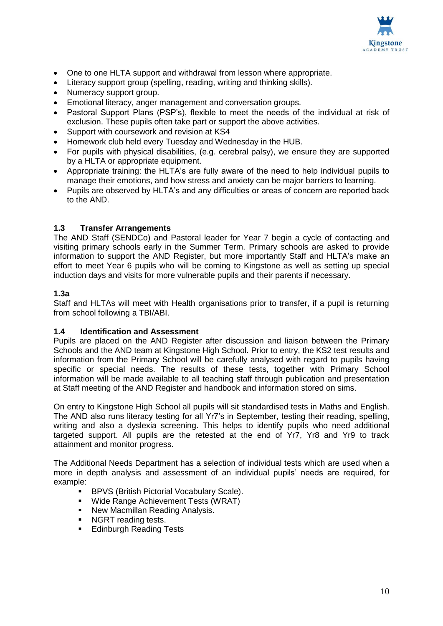

- One to one HLTA support and withdrawal from lesson where appropriate.
- Literacy support group (spelling, reading, writing and thinking skills).
- Numeracy support group.
- Emotional literacy, anger management and conversation groups.
- Pastoral Support Plans (PSP's), flexible to meet the needs of the individual at risk of exclusion. These pupils often take part or support the above activities.
- Support with coursework and revision at KS4
- Homework club held every Tuesday and Wednesday in the HUB.
- For pupils with physical disabilities, (e.g. cerebral palsy), we ensure they are supported by a HLTA or appropriate equipment.
- Appropriate training: the HLTA's are fully aware of the need to help individual pupils to manage their emotions, and how stress and anxiety can be major barriers to learning.
- Pupils are observed by HLTA's and any difficulties or areas of concern are reported back to the AND.

#### **1.3 Transfer Arrangements**

The AND Staff (SENDCo) and Pastoral leader for Year 7 begin a cycle of contacting and visiting primary schools early in the Summer Term. Primary schools are asked to provide information to support the AND Register, but more importantly Staff and HLTA's make an effort to meet Year 6 pupils who will be coming to Kingstone as well as setting up special induction days and visits for more vulnerable pupils and their parents if necessary.

#### **1.3a**

Staff and HLTAs will meet with Health organisations prior to transfer, if a pupil is returning from school following a TBI/ABI.

#### **1.4 Identification and Assessment**

Pupils are placed on the AND Register after discussion and liaison between the Primary Schools and the AND team at Kingstone High School. Prior to entry, the KS2 test results and information from the Primary School will be carefully analysed with regard to pupils having specific or special needs. The results of these tests, together with Primary School information will be made available to all teaching staff through publication and presentation at Staff meeting of the AND Register and handbook and information stored on sims.

On entry to Kingstone High School all pupils will sit standardised tests in Maths and English. The AND also runs literacy testing for all Yr7's in September, testing their reading, spelling, writing and also a dyslexia screening. This helps to identify pupils who need additional targeted support. All pupils are the retested at the end of Yr7, Yr8 and Yr9 to track attainment and monitor progress.

The Additional Needs Department has a selection of individual tests which are used when a more in depth analysis and assessment of an individual pupils' needs are required, for example:

- **BPVS (British Pictorial Vocabulary Scale).**
- **Wide Range Achievement Tests (WRAT)**
- New Macmillan Reading Analysis.
- NGRT reading tests.
- **Edinburgh Reading Tests**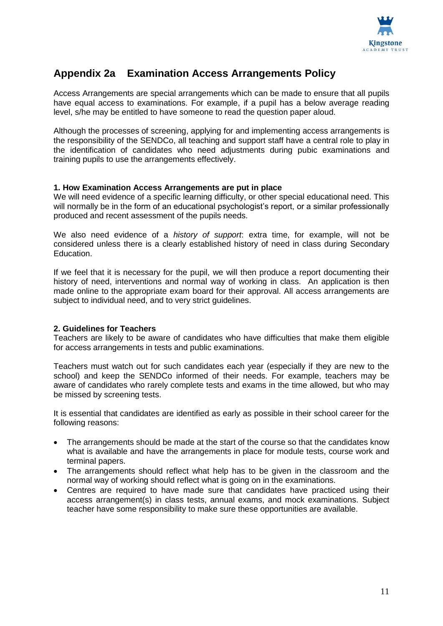

# **Appendix 2a Examination Access Arrangements Policy**

Access Arrangements are special arrangements which can be made to ensure that all pupils have equal access to examinations. For example, if a pupil has a below average reading level, s/he may be entitled to have someone to read the question paper aloud.

Although the processes of screening, applying for and implementing access arrangements is the responsibility of the SENDCo, all teaching and support staff have a central role to play in the identification of candidates who need adjustments during pubic examinations and training pupils to use the arrangements effectively.

#### **1. How Examination Access Arrangements are put in place**

We will need evidence of a specific learning difficulty, or other special educational need. This will normally be in the form of an educational psychologist's report, or a similar professionally produced and recent assessment of the pupils needs.

We also need evidence of a *history of support*: extra time, for example, will not be considered unless there is a clearly established history of need in class during Secondary Education.

If we feel that it is necessary for the pupil, we will then produce a report documenting their history of need, interventions and normal way of working in class. An application is then made online to the appropriate exam board for their approval. All access arrangements are subject to individual need, and to very strict guidelines.

#### **2. Guidelines for Teachers**

Teachers are likely to be aware of candidates who have difficulties that make them eligible for access arrangements in tests and public examinations.

Teachers must watch out for such candidates each year (especially if they are new to the school) and keep the SENDCo informed of their needs. For example, teachers may be aware of candidates who rarely complete tests and exams in the time allowed, but who may be missed by screening tests.

It is essential that candidates are identified as early as possible in their school career for the following reasons:

- The arrangements should be made at the start of the course so that the candidates know what is available and have the arrangements in place for module tests, course work and terminal papers.
- The arrangements should reflect what help has to be given in the classroom and the normal way of working should reflect what is going on in the examinations.
- Centres are required to have made sure that candidates have practiced using their access arrangement(s) in class tests, annual exams, and mock examinations. Subject teacher have some responsibility to make sure these opportunities are available.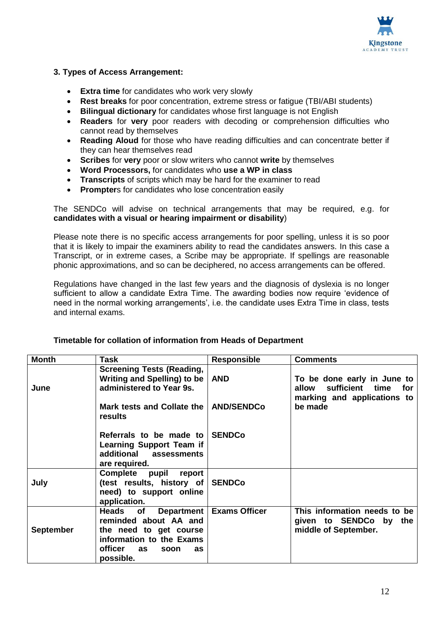

#### **3. Types of Access Arrangement:**

- **Extra time** for candidates who work very slowly
- **Rest breaks** for poor concentration, extreme stress or fatigue (TBI/ABI students)
- **Bilingual dictionary** for candidates whose first language is not English
- **Readers** for **very** poor readers with decoding or comprehension difficulties who cannot read by themselves
- **Reading Aloud** for those who have reading difficulties and can concentrate better if they can hear themselves read
- **Scribes** for **very** poor or slow writers who cannot **write** by themselves
- **Word Processors,** for candidates who **use a WP in class**
- **Transcripts** of scripts which may be hard for the examiner to read
- **Prompter**s for candidates who lose concentration easily

The SENDCo will advise on technical arrangements that may be required, e.g. for **candidates with a visual or hearing impairment or disability**)

Please note there is no specific access arrangements for poor spelling, unless it is so poor that it is likely to impair the examiners ability to read the candidates answers. In this case a Transcript, or in extreme cases, a Scribe may be appropriate. If spellings are reasonable phonic approximations, and so can be deciphered, no access arrangements can be offered.

Regulations have changed in the last few years and the diagnosis of dyslexia is no longer sufficient to allow a candidate Extra Time. The awarding bodies now require 'evidence of need in the normal working arrangements', i.e. the candidate uses Extra Time in class, tests and internal exams.

| <b>Month</b>     | <b>Task</b>                                                                                                                                                 | <b>Responsible</b>   | <b>Comments</b>                                                                            |
|------------------|-------------------------------------------------------------------------------------------------------------------------------------------------------------|----------------------|--------------------------------------------------------------------------------------------|
| June             | <b>Screening Tests (Reading,</b><br><b>Writing and Spelling) to be</b><br>administered to Year 9s.                                                          | <b>AND</b>           | To be done early in June to<br>sufficient time for<br>allow<br>marking and applications to |
|                  | Mark tests and Collate the   AND/SENDCo<br>results                                                                                                          |                      | be made                                                                                    |
|                  | Referrals to be made to SENDCo<br><b>Learning Support Team if</b><br>additional assessments<br>are required.                                                |                      |                                                                                            |
| July             | Complete pupil report<br>(test results, history of<br>need) to support online<br>application.                                                               | <b>SENDCo</b>        |                                                                                            |
| <b>September</b> | Heads<br>Department<br>of<br>reminded about AA and<br>the need to get course<br>information to the Exams<br><b>officer</b><br>as<br>as<br>soon<br>possible. | <b>Exams Officer</b> | This information needs to be<br>given to SENDCo by the<br>middle of September.             |

#### **Timetable for collation of information from Heads of Department**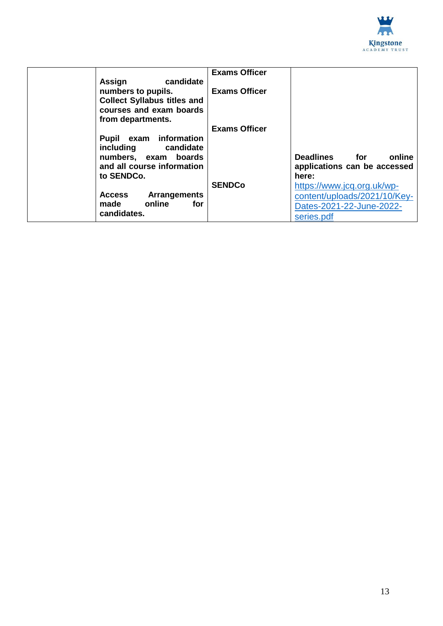

| Assign<br>candidate                                                                                      | <b>Exams Officer</b> |                                                                                                      |
|----------------------------------------------------------------------------------------------------------|----------------------|------------------------------------------------------------------------------------------------------|
| numbers to pupils.<br><b>Collect Syllabus titles and</b><br>courses and exam boards<br>from departments. | <b>Exams Officer</b> |                                                                                                      |
| Pupil exam information                                                                                   | <b>Exams Officer</b> |                                                                                                      |
| including candidate<br>numbers, exam boards<br>and all course information<br>to SENDCo.                  |                      | Deadlines for<br>online<br>applications can be accessed<br>here:                                     |
| <b>Access</b><br>Arrangements<br>online<br>for<br>made<br>candidates.                                    | <b>SENDCo</b>        | https://www.jcq.org.uk/wp-<br>content/uploads/2021/10/Key-<br>Dates-2021-22-June-2022-<br>series.pdf |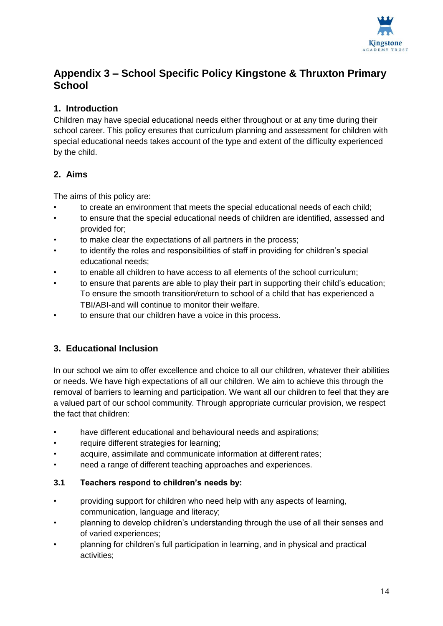

# **Appendix 3 – School Specific Policy Kingstone & Thruxton Primary School**

# **1. Introduction**

Children may have special educational needs either throughout or at any time during their school career. This policy ensures that curriculum planning and assessment for children with special educational needs takes account of the type and extent of the difficulty experienced by the child.

# **2. Aims**

The aims of this policy are:

- to create an environment that meets the special educational needs of each child;
- to ensure that the special educational needs of children are identified, assessed and provided for;
- to make clear the expectations of all partners in the process;
- to identify the roles and responsibilities of staff in providing for children's special educational needs;
- to enable all children to have access to all elements of the school curriculum;
- to ensure that parents are able to play their part in supporting their child's education; To ensure the smooth transition/return to school of a child that has experienced a TBI/ABI-and will continue to monitor their welfare.
- to ensure that our children have a voice in this process.

# **3. Educational Inclusion**

In our school we aim to offer excellence and choice to all our children, whatever their abilities or needs. We have high expectations of all our children. We aim to achieve this through the removal of barriers to learning and participation. We want all our children to feel that they are a valued part of our school community. Through appropriate curricular provision, we respect the fact that children:

- have different educational and behavioural needs and aspirations:
- require different strategies for learning;
- acquire, assimilate and communicate information at different rates;
- need a range of different teaching approaches and experiences.

# **3.1 Teachers respond to children's needs by:**

- providing support for children who need help with any aspects of learning, communication, language and literacy;
- planning to develop children's understanding through the use of all their senses and of varied experiences;
- planning for children's full participation in learning, and in physical and practical activities;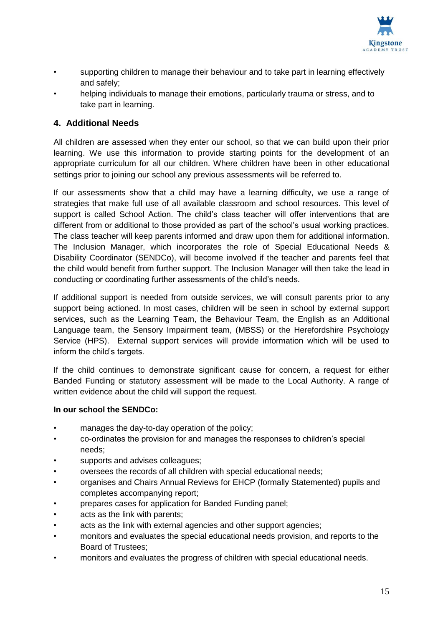

- supporting children to manage their behaviour and to take part in learning effectively and safely;
- helping individuals to manage their emotions, particularly trauma or stress, and to take part in learning.

## **4. Additional Needs**

All children are assessed when they enter our school, so that we can build upon their prior learning. We use this information to provide starting points for the development of an appropriate curriculum for all our children. Where children have been in other educational settings prior to joining our school any previous assessments will be referred to.

If our assessments show that a child may have a learning difficulty, we use a range of strategies that make full use of all available classroom and school resources. This level of support is called School Action. The child's class teacher will offer interventions that are different from or additional to those provided as part of the school's usual working practices. The class teacher will keep parents informed and draw upon them for additional information. The Inclusion Manager, which incorporates the role of Special Educational Needs & Disability Coordinator (SENDCo), will become involved if the teacher and parents feel that the child would benefit from further support. The Inclusion Manager will then take the lead in conducting or coordinating further assessments of the child's needs.

If additional support is needed from outside services, we will consult parents prior to any support being actioned. In most cases, children will be seen in school by external support services, such as the Learning Team, the Behaviour Team, the English as an Additional Language team, the Sensory Impairment team, (MBSS) or the Herefordshire Psychology Service (HPS). External support services will provide information which will be used to inform the child's targets.

If the child continues to demonstrate significant cause for concern, a request for either Banded Funding or statutory assessment will be made to the Local Authority. A range of written evidence about the child will support the request.

#### **In our school the SENDCo:**

- manages the day-to-day operation of the policy;
- co-ordinates the provision for and manages the responses to children's special needs;
- supports and advises colleagues;
- oversees the records of all children with special educational needs;
- organises and Chairs Annual Reviews for EHCP (formally Statemented) pupils and completes accompanying report;
- prepares cases for application for Banded Funding panel;
- acts as the link with parents;
- acts as the link with external agencies and other support agencies;
- monitors and evaluates the special educational needs provision, and reports to the Board of Trustees;
- monitors and evaluates the progress of children with special educational needs.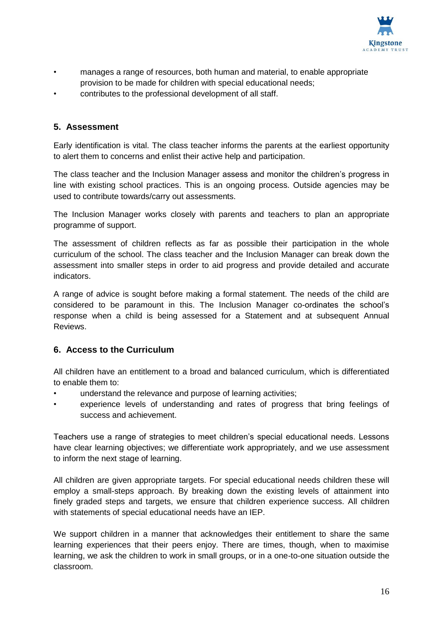

- manages a range of resources, both human and material, to enable appropriate provision to be made for children with special educational needs;
- contributes to the professional development of all staff.

## **5. Assessment**

Early identification is vital. The class teacher informs the parents at the earliest opportunity to alert them to concerns and enlist their active help and participation.

The class teacher and the Inclusion Manager assess and monitor the children's progress in line with existing school practices. This is an ongoing process. Outside agencies may be used to contribute towards/carry out assessments.

The Inclusion Manager works closely with parents and teachers to plan an appropriate programme of support.

The assessment of children reflects as far as possible their participation in the whole curriculum of the school. The class teacher and the Inclusion Manager can break down the assessment into smaller steps in order to aid progress and provide detailed and accurate indicators.

A range of advice is sought before making a formal statement. The needs of the child are considered to be paramount in this. The Inclusion Manager co-ordinates the school's response when a child is being assessed for a Statement and at subsequent Annual Reviews.

# **6. Access to the Curriculum**

All children have an entitlement to a broad and balanced curriculum, which is differentiated to enable them to:

- understand the relevance and purpose of learning activities;
- experience levels of understanding and rates of progress that bring feelings of success and achievement.

Teachers use a range of strategies to meet children's special educational needs. Lessons have clear learning objectives; we differentiate work appropriately, and we use assessment to inform the next stage of learning.

All children are given appropriate targets. For special educational needs children these will employ a small-steps approach. By breaking down the existing levels of attainment into finely graded steps and targets, we ensure that children experience success. All children with statements of special educational needs have an IEP.

We support children in a manner that acknowledges their entitlement to share the same learning experiences that their peers enjoy. There are times, though, when to maximise learning, we ask the children to work in small groups, or in a one-to-one situation outside the classroom.